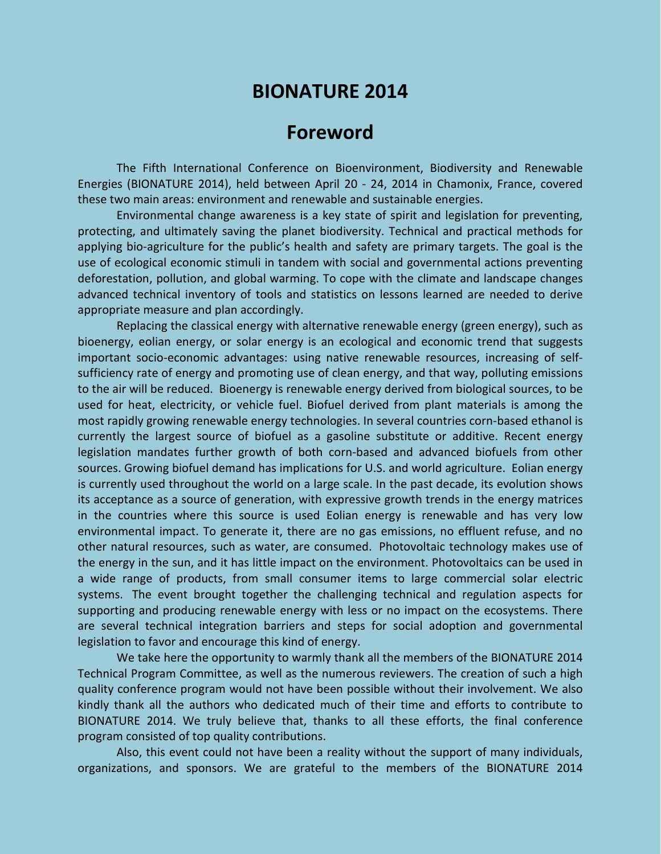## **BIONATURE 2014**

## **Foreword**

The Fifth International Conference on Bioenvironment, Biodiversity and Renewable Energies (BIONATURE 2014), held between April 20 - 24, 2014 in Chamonix, France, covered these two main areas: environment and renewable and sustainable energies.

Environmental change awareness is a key state of spirit and legislation for preventing, protecting, and ultimately saving the planet biodiversity. Technical and practical methods for applying bio-agriculture for the public's health and safety are primary targets. The goal is the use of ecological economic stimuli in tandem with social and governmental actions preventing deforestation, pollution, and global warming. To cope with the climate and landscape changes advanced technical inventory of tools and statistics on lessons learned are needed to derive appropriate measure and plan accordingly.

Replacing the classical energy with alternative renewable energy (green energy), such as bioenergy, eolian energy, or solar energy is an ecological and economic trend that suggests important socio-economic advantages: using native renewable resources, increasing of selfsufficiency rate of energy and promoting use of clean energy, and that way, polluting emissions to the air will be reduced. Bioenergy is renewable energy derived from biological sources, to be used for heat, electricity, or vehicle fuel. Biofuel derived from plant materials is among the most rapidly growing renewable energy technologies. In several countries corn-based ethanol is currently the largest source of biofuel as a gasoline substitute or additive. Recent energy legislation mandates further growth of both corn-based and advanced biofuels from other sources. Growing biofuel demand has implications for U.S. and world agriculture. Eolian energy is currently used throughout the world on a large scale. In the past decade, its evolution shows its acceptance as a source of generation, with expressive growth trends in the energy matrices in the countries where this source is used Eolian energy is renewable and has very low environmental impact. To generate it, there are no gas emissions, no effluent refuse, and no other natural resources, such as water, are consumed. Photovoltaic technology makes use of the energy in the sun, and it has little impact on the environment. Photovoltaics can be used in a wide range of products, from small consumer items to large commercial solar electric systems. The event brought together the challenging technical and regulation aspects for supporting and producing renewable energy with less or no impact on the ecosystems. There are several technical integration barriers and steps for social adoption and governmental legislation to favor and encourage this kind of energy.

We take here the opportunity to warmly thank all the members of the BIONATURE 2014 Technical Program Committee, as well as the numerous reviewers. The creation of such a high quality conference program would not have been possible without their involvement. We also kindly thank all the authors who dedicated much of their time and efforts to contribute to BIONATURE 2014. We truly believe that, thanks to all these efforts, the final conference program consisted of top quality contributions.

Also, this event could not have been a reality without the support of many individuals, organizations, and sponsors. We are grateful to the members of the BIONATURE 2014